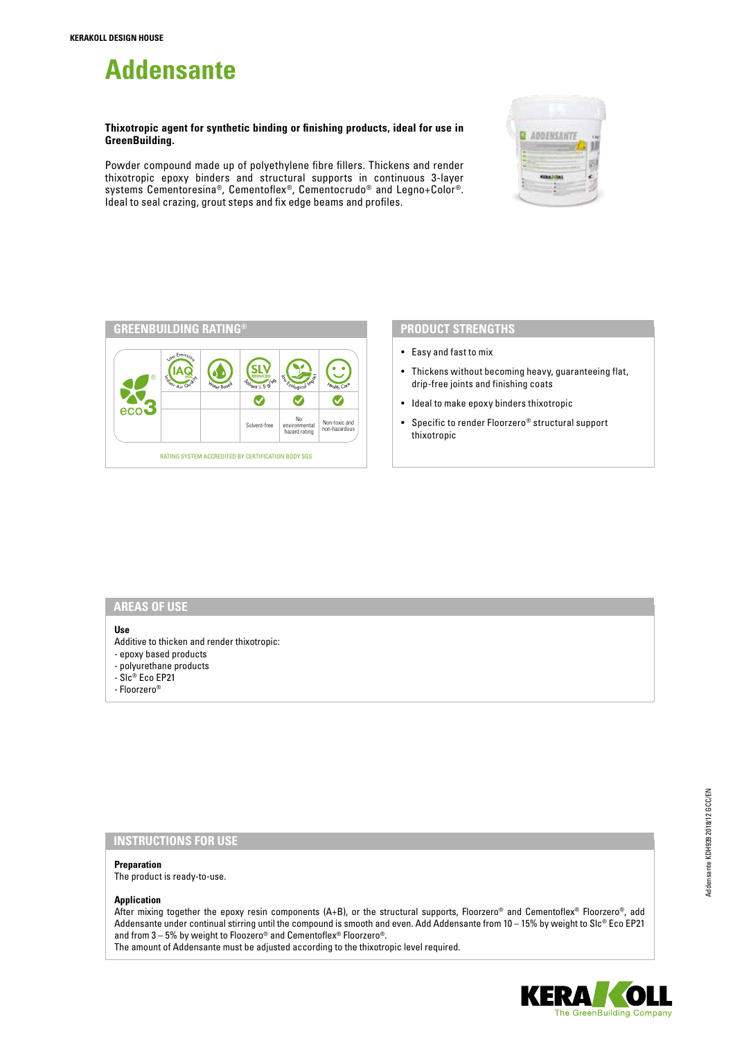# **Addensante**

**Thixotropic agent for synthetic binding or finishing products, ideal for use in GreenBuilding.**

Powder compound made up of polyethylene fibre fillers. Thickens and render thixotropic epoxy binders and structural supports in continuous 3-layer systems Cementoresina®, Cementoflex®, Cementocrudo® and Legno+Color®. Ideal to seal crazing, grout steps and fix edge beams and profiles.





## **PRODUCT STRENGTHS**

- Easy and fast to mix
- Thickens without becoming heavy, guaranteeing flat, drip-free joints and finishing coats
- Ideal to make epoxy binders thixotropic
- Specific to render Floorzero® structural support thixotropic

#### **AREAS OF USE**

## **Use**

- Additive to thicken and render thixotropic:
- epoxy based products
- polyurethane products
- Slc® Eco EP21
- Floorzero®

## **INSTRUCTIONS FOR USE**

#### **Preparation**

The product is ready-to-use.

## **Application**

After mixing together the epoxy resin components (A+B), or the structural supports, Floorzero® and Cementoflex® Floorzero®, add Addensante under continual stirring until the compound is smooth and even. Add Addensante from 10 – 15% by weight to Slc® Eco EP21 and from 3 – 5% by weight to Floozero® and Cementoflex® Floorzero®.

The amount of Addensante must be adjusted according to the thixotropic level required.